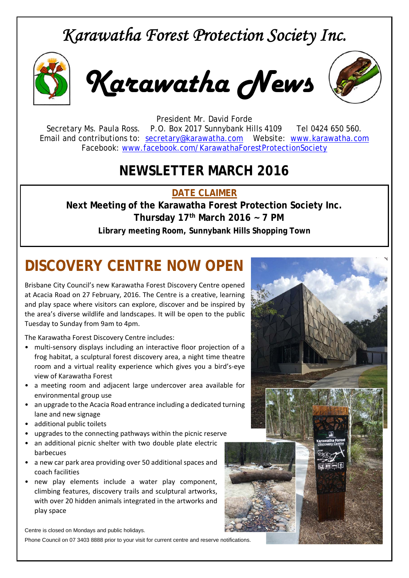## *Karawatha Forest Protection Society Inc.*



*Karawatha News*



President Mr. David Forde Secretary Ms. Paula Ross. P.O. Box 2017 Sunnybank Hills 4109 Tel 0424 650 560. Email and contributions to: secretary@karawatha.com Website: www.karawatha.com Facebook: www.facebook.com/KarawathaForestProtectionSociety

## **NEWSLETTER MARCH 2016**

**DATE CLAIMER** 

**Next Meeting of the Karawatha Forest Protection Society Inc. Thursday 17th March 2016 ~ 7 PM Library meeting Room, Sunnybank Hills Shopping Town** 

# **DISCOVERY CENTRE NOW OPEN**

Brisbane City Council's new Karawatha Forest Discovery Centre opened at Acacia Road on 27 February, 2016. The Centre is a creative, learning and play space where visitors can explore, discover and be inspired by the area's diverse wildlife and landscapes. It will be open to the public Tuesday to Sunday from 9am to 4pm.

The Karawatha Forest Discovery Centre includes:

- multi-sensory displays including an interactive floor projection of a frog habitat, a sculptural forest discovery area, a night time theatre room and a virtual reality experience which gives you a bird's‐eye view of Karawatha Forest
- a meeting room and adjacent large undercover area available for environmental group use
- an upgrade to the Acacia Road entrance including a dedicated turning lane and new signage
- additional public toilets
- upgrades to the connecting pathways within the picnic reserve
- an additional picnic shelter with two double plate electric barbecues
- a new car park area providing over 50 additional spaces and coach facilities
- new play elements include a water play component, climbing features, discovery trails and sculptural artworks, with over 20 hidden animals integrated in the artworks and play space

Centre is closed on Mondays and public holidays.

Phone Council on 07 3403 8888 prior to your visit for current centre and reserve notifications.